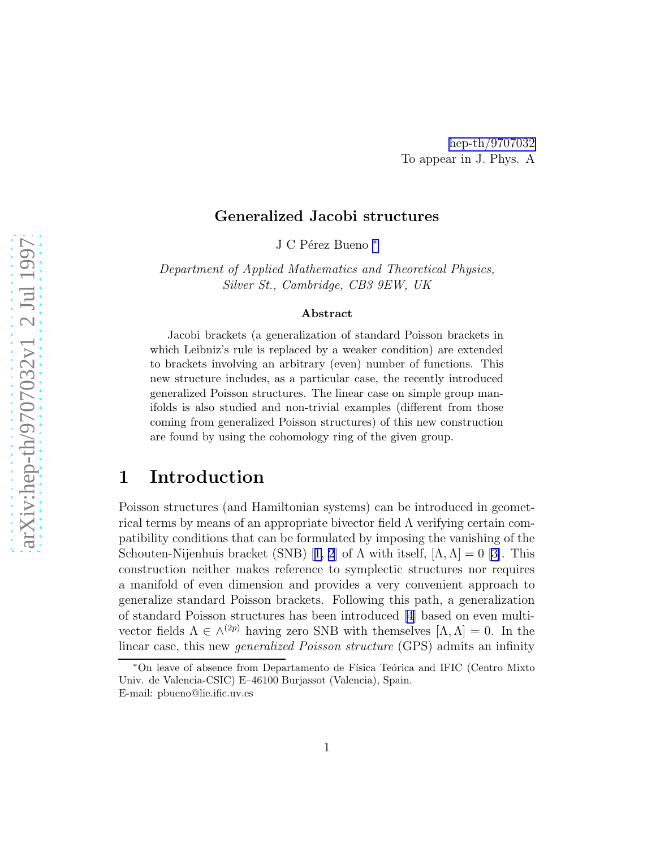#### Generalized Jacobi structures

J C Pérez Bueno \*

Department of Applied Mathematics and Theoretical Physics, Silver St., Cambridge, CB3 9EW, UK

#### Abstract

Jacobi brackets (a generalization of standard Poisson brackets in which Leibniz's rule is replaced by a weaker condition) are extended to brackets involving an arbitrary (even) number of functions. This new structure includes, as a particular case, the recently introduced generalized Poisson structures. The linear case on simple group manifolds is also studied and non-trivial examples (different from those coming from generalized Poisson structures) of this new construction are found by using the cohomology ring of the given group.

# 1 Introduction

Poisson structures (and Hamiltonian systems) can be introduced in geometrical terms by means of an appropriate bivector field  $\Lambda$  verifying certain compatibility conditions that can be formulated by imposing the vanishing of the Schouten-Nijenhuisbracket (SNB) [[1, 2](#page-8-0)] of  $\Lambda$  with itself,  $[\Lambda, \Lambda] = 0$  [\[3\]](#page-9-0). This construction neither makes reference to symplectic structures nor requires a manifold of even dimension and provides a very convenient approach to generalize standard Poisson brackets. Following this path, a generalization of standard Poisson structures has been introduced [\[4\]](#page-9-0) based on even multivector fields  $\Lambda \in \wedge^{(2p)}$  having zero SNB with themselves  $[\Lambda, \Lambda] = 0$ . In the linear case, this new generalized Poisson structure (GPS) admits an infinity

<sup>\*</sup>On leave of absence from Departamento de Física Teórica and IFIC (Centro Mixto Univ. de Valencia-CSIC) E–46100 Burjassot (Valencia), Spain. E-mail: pbueno@lie.ific.uv.es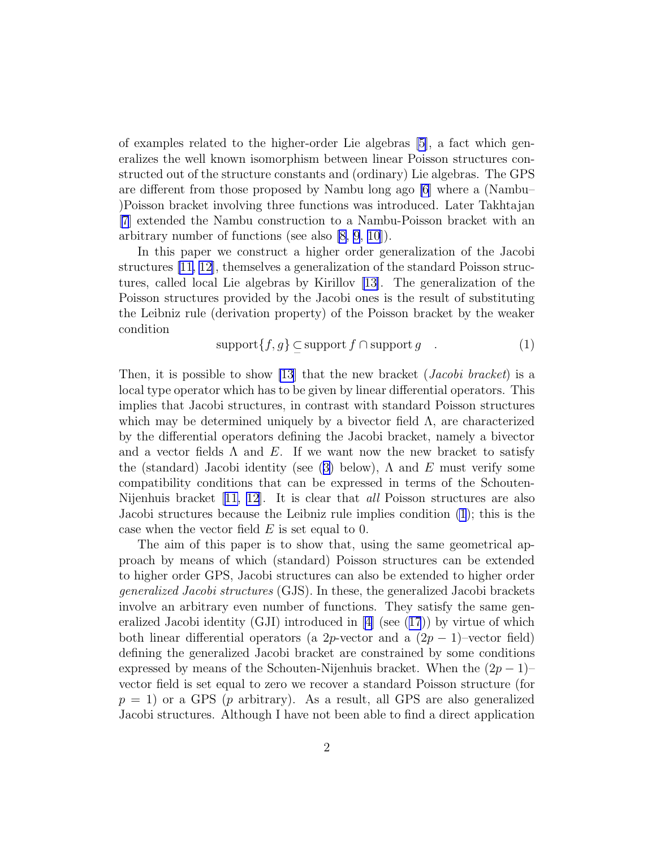<span id="page-1-0"></span>of examples related to the higher-order Lie algebras [\[5\]](#page-9-0), a fact which generalizes the well known isomorphism between linear Poisson structures constructed out of the structure constants and (ordinary) Lie algebras. The GPS are different from those proposed by Nambu long ago [\[6](#page-9-0)] where a (Nambu– )Poisson bracket involving three functions was introduced. Later Takhtajan [\[7\]](#page-9-0) extended the Nambu construction to a Nambu-Poisson bracket with an arbitrary number of functions (see also [\[8](#page-9-0), [9](#page-9-0), [10\]](#page-9-0)).

In this paper we construct a higher order generalization of the Jacobi structures [\[11, 12\]](#page-9-0), themselves a generalization of the standard Poisson structures, called local Lie algebras by Kirillov [\[13\]](#page-9-0). The generalization of the Poisson structures provided by the Jacobi ones is the result of substituting the Leibniz rule (derivation property) of the Poisson bracket by the weaker condition

$$
support{f, g} \subseteq support{f} \cap support{g} \quad . \tag{1}
$$

Then, it is possible to show [\[13](#page-9-0)] that the new bracket (*Jacobi bracket*) is a local type operator which has to be given by linear differential operators. This implies that Jacobi structures, in contrast with standard Poisson structures which may be determined uniquely by a bivector field  $\Lambda$ , are characterized by the differential operators defining the Jacobi bracket, namely a bivector and a vector fields  $\Lambda$  and  $E$ . If we want now the new bracket to satisfy the(standard) Jacobi identity (see ([3\)](#page-2-0) below),  $\Lambda$  and E must verify some compatibility conditions that can be expressed in terms of the Schouten-Nijenhuis bracket [\[11, 12\]](#page-9-0). It is clear that *all* Poisson structures are also Jacobi structures because the Leibniz rule implies condition (1); this is the case when the vector field  $E$  is set equal to 0.

The aim of this paper is to show that, using the same geometrical approach by means of which (standard) Poisson structures can be extended to higher order GPS, Jacobi structures can also be extended to higher order generalized Jacobi structures (GJS). In these, the generalized Jacobi brackets involve an arbitrary even number of functions. They satisfy the same gen-eralizedJacobi identity (GJI) introduced in  $[4]$  $[4]$  (see ([17](#page-5-0))) by virtue of which both linear differential operators (a 2p-vector and a  $(2p - 1)$ –vector field) defining the generalized Jacobi bracket are constrained by some conditions expressed by means of the Schouten-Nijenhuis bracket. When the  $(2p-1)$ – vector field is set equal to zero we recover a standard Poisson structure (for  $p = 1$ ) or a GPS (p arbitrary). As a result, all GPS are also generalized Jacobi structures. Although I have not been able to find a direct application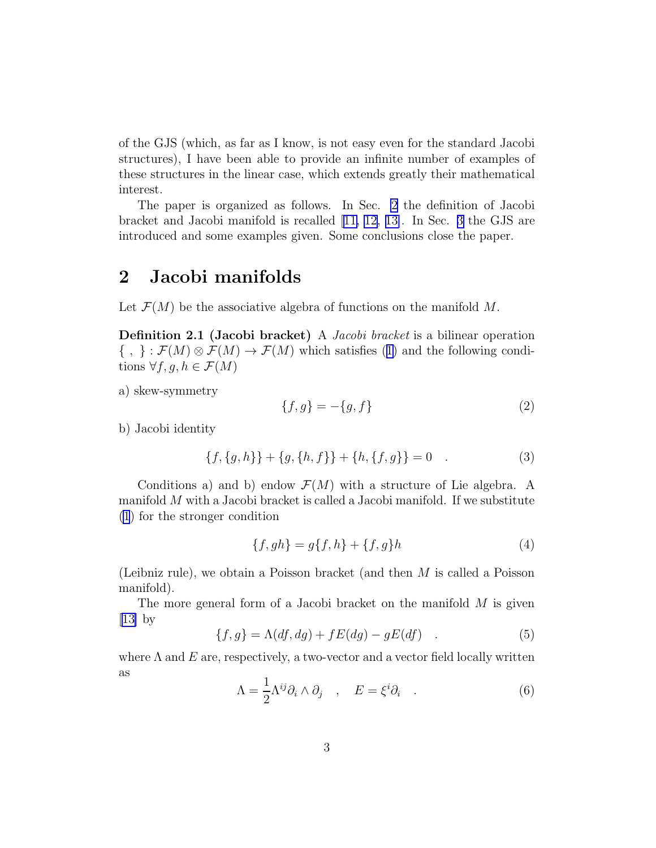<span id="page-2-0"></span>of the GJS (which, as far as I know, is not easy even for the standard Jacobi structures), I have been able to provide an infinite number of examples of these structures in the linear case, which extends greatly their mathematical interest.

The paper is organized as follows. In Sec. 2 the definition of Jacobi bracket and Jacobi manifold is recalled [\[11, 12](#page-9-0), [13\]](#page-9-0). In Sec. [3](#page-4-0) the GJS are introduced and some examples given. Some conclusions close the paper.

## 2 Jacobi manifolds

Let  $\mathcal{F}(M)$  be the associative algebra of functions on the manifold M.

Definition 2.1 (Jacobi bracket) A *Jacobi bracket* is a bilinear operation  $\{ , \} : \mathcal{F}(M) \otimes \mathcal{F}(M) \to \mathcal{F}(M)$  $\{ , \} : \mathcal{F}(M) \otimes \mathcal{F}(M) \to \mathcal{F}(M)$  $\{ , \} : \mathcal{F}(M) \otimes \mathcal{F}(M) \to \mathcal{F}(M)$  which satisfies ([1\)](#page-1-0) and the following conditions  $\forall f, g, h \in \mathcal{F}(M)$ 

a) skew-symmetry

$$
\{f, g\} = -\{g, f\} \tag{2}
$$

b) Jacobi identity

$$
\{f, \{g, h\}\} + \{g, \{h, f\}\} + \{h, \{f, g\}\} = 0 \quad . \tag{3}
$$

Conditions a) and b) endow  $\mathcal{F}(M)$  with a structure of Lie algebra. A manifold  $M$  with a Jacobi bracket is called a Jacobi manifold. If we substitute [\(1](#page-1-0)) for the stronger condition

$$
\{f, gh\} = g\{f, h\} + \{f, g\}h\tag{4}
$$

(Leibniz rule), we obtain a Poisson bracket (and then M is called a Poisson manifold).

The more general form of a Jacobi bracket on the manifold  $M$  is given  $[13]$  by

$$
\{f,g\} = \Lambda(df,dg) + fE(dg) - gE(df) \quad . \tag{5}
$$

where  $\Lambda$  and  $E$  are, respectively, a two-vector and a vector field locally written as

$$
\Lambda = \frac{1}{2} \Lambda^{ij} \partial_i \wedge \partial_j \quad , \quad E = \xi^i \partial_i \quad . \tag{6}
$$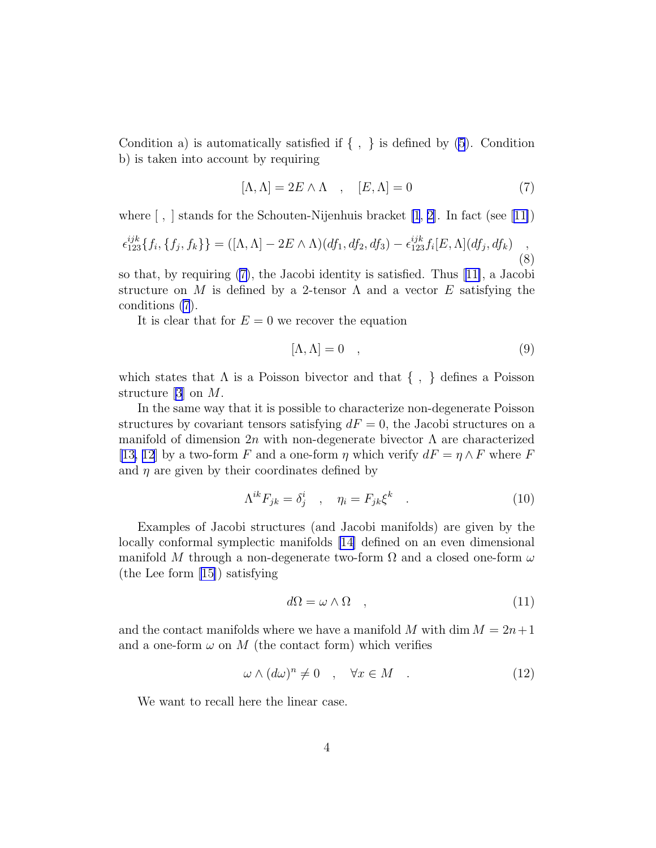<span id="page-3-0"></span>Condition a) is automatically satisfied if  $\{ , \}$  is defined by  $(5)$ . Condition b) is taken into account by requiring

$$
[\Lambda, \Lambda] = 2E \wedge \Lambda \quad , \quad [E, \Lambda] = 0 \tag{7}
$$

where $\lbrack , \rbrack$  stands for the Schouten-Nijenhuis bracket  $\lbrack 1, 2 \rbrack$ . In fact (see [\[1](#page-8-0)1])

$$
\epsilon_{123}^{ijk} \{ f_i, \{ f_j, f_k \} \} = ([\Lambda, \Lambda] - 2E \wedge \Lambda) (df_1, df_2, df_3) - \epsilon_{123}^{ijk} f_i [E, \Lambda] (df_j, df_k) ,
$$
\n(8)

so that, by requiring (7), the Jacobi identity is satisfied. Thus[[11\]](#page-9-0), a Jacobi structure on M is defined by a 2-tensor  $\Lambda$  and a vector E satisfying the conditions (7).

It is clear that for  $E = 0$  we recover the equation

$$
[\Lambda, \Lambda] = 0 \quad , \tag{9}
$$

which states that  $\Lambda$  is a Poisson bivector and that  $\{ , \}$  defines a Poisson structure [\[3](#page-9-0)] on M.

In the same way that it is possible to characterize non-degenerate Poisson structures by covariant tensors satisfying  $dF = 0$ , the Jacobi structures on a manifold of dimension 2n with non-degenerate bivector  $\Lambda$  are characterized [\[13, 12](#page-9-0)] by a two-form F and a one-form  $\eta$  which verify  $dF = \eta \wedge F$  where F and  $\eta$  are given by their coordinates defined by

$$
\Lambda^{ik} F_{jk} = \delta^i_j \quad , \quad \eta_i = F_{jk} \xi^k \quad . \tag{10}
$$

Examples of Jacobi structures (and Jacobi manifolds) are given by the locally conformal symplectic manifolds [\[14\]](#page-9-0) defined on an even dimensional manifold M through a non-degenerate two-form  $\Omega$  and a closed one-form  $\omega$ (the Lee form [\[15\]](#page-9-0)) satisfying

$$
d\Omega = \omega \wedge \Omega \quad , \tag{11}
$$

and the contact manifolds where we have a manifold M with dim  $M = 2n+1$ and a one-form  $\omega$  on M (the contact form) which verifies

$$
\omega \wedge (d\omega)^n \neq 0 \quad , \quad \forall x \in M \quad . \tag{12}
$$

We want to recall here the linear case.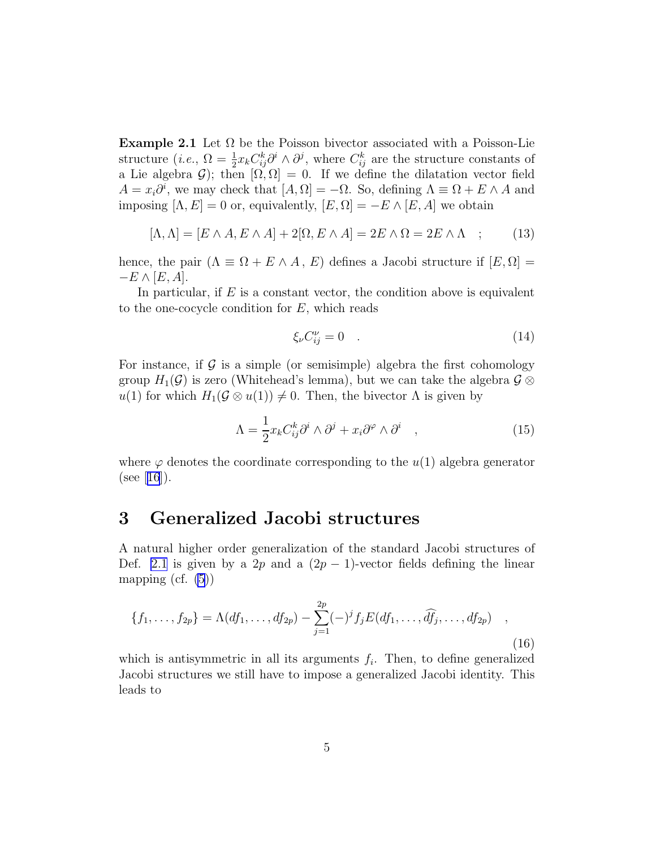<span id="page-4-0"></span>**Example 2.1** Let  $\Omega$  be the Poisson bivector associated with a Poisson-Lie structure (*i.e.*,  $\Omega = \frac{1}{2}x_k C_{ij}^k \partial^i \wedge \partial^j$ , where  $C_{ij}^k$  are the structure constants of a Lie algebra  $\mathcal{G}$ ); then  $[\Omega, \Omega] = 0$ . If we define the dilatation vector field  $A = x_i \partial^i$ , we may check that  $[A, \Omega] = -\Omega$ . So, defining  $\Lambda \equiv \Omega + E \wedge A$  and imposing  $[\Lambda, E] = 0$  or, equivalently,  $[E, \Omega] = -E \wedge [E, A]$  we obtain

$$
[\Lambda, \Lambda] = [E \wedge A, E \wedge A] + 2[\Omega, E \wedge A] = 2E \wedge \Omega = 2E \wedge \Lambda \quad ; \tag{13}
$$

hence, the pair  $(\Lambda \equiv \Omega + E \wedge A, E)$  defines a Jacobi structure if  $[E, \Omega] =$  $-E \wedge [E, A].$ 

In particular, if  $E$  is a constant vector, the condition above is equivalent to the one-cocycle condition for  $E$ , which reads

$$
\xi_{\nu} C_{ij}^{\nu} = 0 \quad . \tag{14}
$$

For instance, if  $\mathcal G$  is a simple (or semisimple) algebra the first cohomology group  $H_1(\mathcal{G})$  is zero (Whitehead's lemma), but we can take the algebra  $\mathcal{G} \otimes$  $u(1)$  for which  $H_1(\mathcal{G} \otimes u(1)) \neq 0$ . Then, the bivector  $\Lambda$  is given by

$$
\Lambda = \frac{1}{2} x_k C_{ij}^k \partial^i \wedge \partial^j + x_i \partial^\varphi \wedge \partial^i \quad , \tag{15}
$$

where  $\varphi$  denotes the coordinate corresponding to the  $u(1)$  algebra generator  $(see [16]).$  $(see [16]).$  $(see [16]).$  $(see [16]).$  $(see [16]).$ 

# 3 Generalized Jacobi structures

A natural higher order generalization of the standard Jacobi structures of Def. [2.1](#page-2-0) is given by a 2p and a  $(2p - 1)$ -vector fields defining the linear mapping (cf.  $(5)$ )

$$
\{f_1, \ldots, f_{2p}\} = \Lambda(df_1, \ldots, df_{2p}) - \sum_{j=1}^{2p} (-)^j f_j E(df_1, \ldots, \widehat{df}_j, \ldots, df_{2p}) \quad ,
$$
\n(16)

which is antisymmetric in all its arguments  $f_i$ . Then, to define generalized Jacobi structures we still have to impose a generalized Jacobi identity. This leads to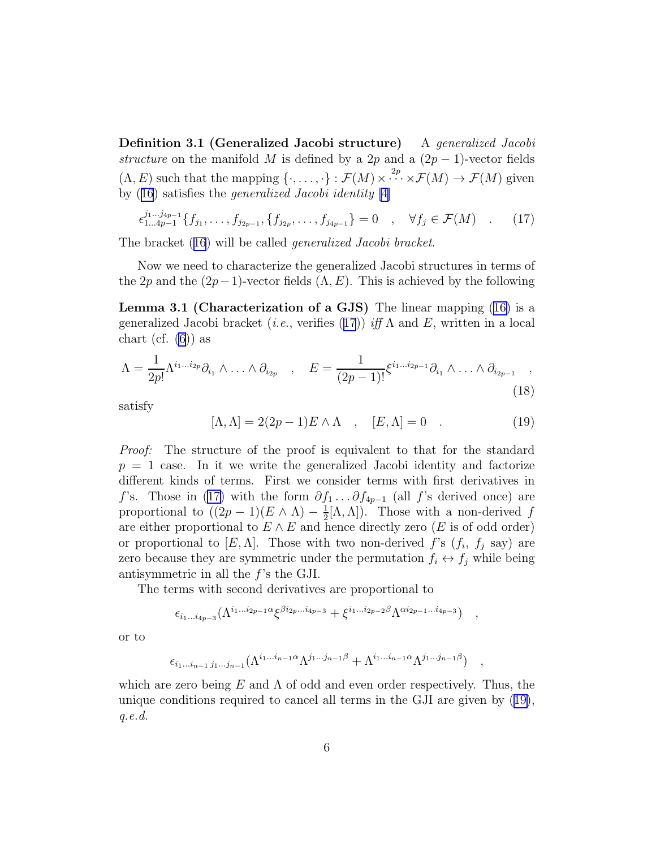<span id="page-5-0"></span>Definition 3.1 (Generalized Jacobi structure) A generalized Jacobi structure on the manifold M is defined by a 2p and a  $(2p-1)$ -vector fields  $(\Lambda, E)$  such that the mapping  $\{\cdot, \ldots, \cdot\} : \mathcal{F}(M) \times \cdots \times \mathcal{F}(M) \to \mathcal{F}(M)$  given by([16](#page-4-0)) satisfies the generalized Jacobi identity [\[4](#page-9-0)]

$$
\epsilon_{1...4p-1}^{j_1...j_{4p-1}}\{f_{j_1},\ldots,f_{j_{2p-1}},\{f_{j_{2p}},\ldots,f_{j_{4p-1}}\}=0\quad,\quad\forall f_j\in\mathcal{F}(M)\quad.\tag{17}
$$

The bracket([16](#page-4-0)) will be called generalized Jacobi bracket.

Now we need to characterize the generalized Jacobi structures in terms of the 2p and the  $(2p-1)$ -vector fields  $(\Lambda, E)$ . This is achieved by the following

Lemma 3.1 (Characterization of a GJS) The linear mapping([16\)](#page-4-0) is a generalized Jacobi bracket (*i.e.*, verifies (17)) if  $\Lambda$  and E, written in a local chart (cf.  $(6)$ ) as

$$
\Lambda = \frac{1}{2p!} \Lambda^{i_1 \dots i_{2p}} \partial_{i_1} \wedge \dots \wedge \partial_{i_{2p}} , \quad E = \frac{1}{(2p-1)!} \xi^{i_1 \dots i_{2p-1}} \partial_{i_1} \wedge \dots \wedge \partial_{i_{2p-1}} ,
$$
\n(18)

satisfy

$$
[\Lambda, \Lambda] = 2(2p - 1)E \wedge \Lambda \quad , \quad [E, \Lambda] = 0 \quad . \tag{19}
$$

) ,

Proof: The structure of the proof is equivalent to that for the standard  $p = 1$  case. In it we write the generalized Jacobi identity and factorize different kinds of terms. First we consider terms with first derivatives in f's. Those in (17) with the form  $\partial f_1 \dots \partial f_{4p-1}$  (all f's derived once) are proportional to  $((2p-1)(E \wedge \Lambda) - \frac{1}{2})$  $\frac{1}{2}[\Lambda,\Lambda]$ ). Those with a non-derived f are either proportional to  $E \wedge E$  and hence directly zero (E is of odd order) or proportional to  $[E, \Lambda]$ . Those with two non-derived f's  $(f_i, f_j$  say) are zero because they are symmetric under the permutation  $f_i \leftrightarrow f_j$  while being antisymmetric in all the f's the GJI.

The terms with second derivatives are proportional to

$$
\epsilon_{i_1...i_{4p-3}}(\Lambda^{i_1...i_{2p-1}\alpha}\xi^{\beta i_{2p}...i_{4p-3}}+\xi^{i_1...i_{2p-2}\beta}\Lambda^{\alpha i_{2p-1}...i_{4p-3}})\quad ,
$$

or to

$$
\epsilon_{i_1\ldots i_{n-1}\,j_1\ldots j_{n-1}}(\Lambda^{i_1\ldots i_{n-1}\alpha}\Lambda^{j_1\ldots j_{n-1}\beta}+\Lambda^{i_1\ldots i_{n-1}\alpha}\Lambda^{j_1\ldots j_{n-1}\beta})
$$

which are zero being E and  $\Lambda$  of odd and even order respectively. Thus, the unique conditions required to cancel all terms in the GJI are given by (19), q.e.d.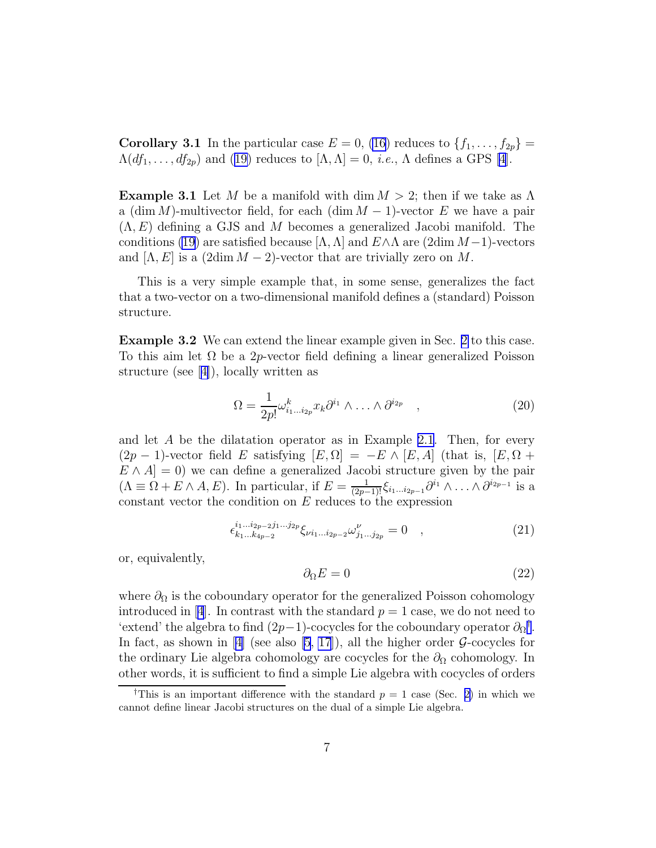<span id="page-6-0"></span>**Corollary 3.1** In the particular case  $E = 0$ , [\(16](#page-4-0)) reduces to  $\{f_1, \ldots, f_{2p}\}$  $\Lambda(df_1, \ldots, df_{2p})$  $\Lambda(df_1, \ldots, df_{2p})$  $\Lambda(df_1, \ldots, df_{2p})$  and ([19\)](#page-5-0) reduces to  $[\Lambda, \Lambda] = 0$ , *i.e.*,  $\Lambda$  defines a GPS [\[4](#page-9-0)].

**Example 3.1** Let M be a manifold with dim  $M > 2$ ; then if we take as  $\Lambda$ a (dim M)-multivector field, for each (dim  $M-1$ )-vector E we have a pair  $(\Lambda, E)$  defining a GJS and M becomes a generalized Jacobi manifold. The conditions [\(19](#page-5-0)) are satisfied because  $[\Lambda, \Lambda]$  and  $E \wedge \Lambda$  are (2dim  $M-1$ )-vectors and  $[\Lambda, E]$  is a  $(2\dim M - 2)$ -vector that are trivially zero on M.

This is a very simple example that, in some sense, generalizes the fact that a two-vector on a two-dimensional manifold defines a (standard) Poisson structure.

Example 3.2 We can extend the linear example given in Sec. [2](#page-2-0) to this case. To this aim let  $\Omega$  be a 2p-vector field defining a linear generalized Poisson structure (see[[4\]](#page-9-0)), locally written as

$$
\Omega = \frac{1}{2p!} \omega_{i_1 \dots i_{2p}}^k x_k \partial^{i_1} \wedge \dots \wedge \partial^{i_{2p}} \quad , \tag{20}
$$

and let A be the dilatation operator as in Example [2.1](#page-3-0). Then, for every  $(2p-1)$ -vector field E satisfying  $[E,\Omega] = -E \wedge [E,\Lambda]$  (that is,  $[E,\Omega]$  +  $E \wedge A$  = 0) we can define a generalized Jacobi structure given by the pair  $(\Lambda \equiv \Omega + E \wedge A, E)$ . In particular, if  $E = \frac{1}{(2p-1)!} \xi_{i_1...i_{2p-1}} \partial^{i_1} \wedge ... \wedge \partial^{i_{2p-1}}$  is a constant vector the condition on  $E$  reduces to the expression

$$
\epsilon_{k_1...k_{4p-2}}^{i_1...i_{2p-2}j_1...j_{2p}} \xi_{\nu i_1...i_{2p-2}} \omega_{j_1...j_{2p}}^{\nu} = 0 \quad , \tag{21}
$$

or, equivalently,

$$
\partial_{\Omega} E = 0 \tag{22}
$$

where  $\partial_{\Omega}$  is the coboundary operator for the generalized Poisson cohomology introducedin [[4](#page-9-0)]. In contrast with the standard  $p = 1$  case, we do not need to 'extend' the algebra to find  $(2p-1)$ -cocycles for the coboundary operator  $\partial_{\Omega}$ <sup>†</sup>. In fact, as shown in [\[4\]](#page-9-0) (see also [\[5](#page-9-0), [17](#page-10-0)]), all the higher order  $\mathcal{G}\text{-cocycles}$  for the ordinary Lie algebra cohomology are cocycles for the  $\partial_{\Omega}$  cohomology. In other words, it is sufficient to find a simple Lie algebra with cocycles of orders

<sup>&</sup>lt;sup>†</sup>This is an important difference with the standard  $p = 1$  case (Sec. [2\)](#page-2-0) in which we cannot define linear Jacobi structures on the dual of a simple Lie algebra.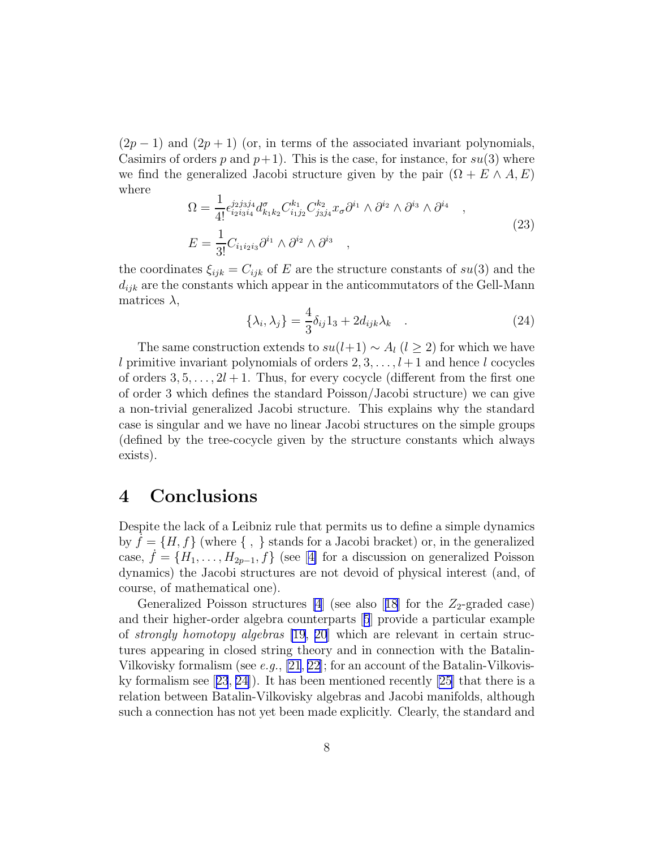$(2p-1)$  and  $(2p+1)$  (or, in terms of the associated invariant polynomials, Casimirs of orders p and  $p+1$ ). This is the case, for instance, for  $su(3)$  where we find the generalized Jacobi structure given by the pair  $(\Omega + E \wedge A, E)$ where

$$
\Omega = \frac{1}{4!} \epsilon_{i_2 i_3 i_4}^{j_2 j_3 j_4} d_{k_1 k_2}^{\sigma} C_{i_1 j_2}^{k_1} C_{j_3 j_4}^{k_2} x_{\sigma} \partial^{i_1} \wedge \partial^{i_2} \wedge \partial^{i_3} \wedge \partial^{i_4} ,
$$
  
\n
$$
E = \frac{1}{3!} C_{i_1 i_2 i_3} \partial^{i_1} \wedge \partial^{i_2} \wedge \partial^{i_3} ,
$$
\n(23)

the coordinates  $\xi_{ijk} = C_{ijk}$  of E are the structure constants of  $su(3)$  and the  $d_{ijk}$  are the constants which appear in the anticommutators of the Gell-Mann matrices  $\lambda$ ,

$$
\{\lambda_i, \lambda_j\} = \frac{4}{3}\delta_{ij}1_3 + 2d_{ijk}\lambda_k \quad . \tag{24}
$$

The same construction extends to  $su(l+1) \sim A_l$  ( $l \geq 2$ ) for which we have l primitive invariant polynomials of orders  $2, 3, \ldots, l+1$  and hence l cocycles of orders  $3, 5, \ldots, 2l + 1$ . Thus, for every cocycle (different from the first one of order 3 which defines the standard Poisson/Jacobi structure) we can give a non-trivial generalized Jacobi structure. This explains why the standard case is singular and we have no linear Jacobi structures on the simple groups (defined by the tree-cocycle given by the structure constants which always exists).

### 4 Conclusions

Despite the lack of a Leibniz rule that permits us to define a simple dynamics by  $f = \{H, f\}$  (where  $\{\, , \, \}$  stands for a Jacobi bracket) or, in the generalized case, $f = \{H_1, \ldots, H_{2p-1}, f\}$  (see [[4\]](#page-9-0) for a discussion on generalized Poisson dynamics) the Jacobi structures are not devoid of physical interest (and, of course, of mathematical one).

GeneralizedPoisson structures  $[4]$  (see also [[18](#page-10-0)] for the  $Z_2$ -graded case) and their higher-order algebra counterparts[[5](#page-9-0)] provide a particular example of strongly homotopy algebras [\[19](#page-10-0), [20](#page-10-0)] which are relevant in certain structures appearing in closed string theory and in connection with the Batalin-Vilkovisky formalism (see e.g., [\[21](#page-10-0), [22\]](#page-10-0); for an account of the Batalin-Vilkoviskyformalism see  $(23, 24)$  $(23, 24)$  $(23, 24)$ . It has been mentioned recently  $(25)$  that there is a relation between Batalin-Vilkovisky algebras and Jacobi manifolds, although such a connection has not yet been made explicitly. Clearly, the standard and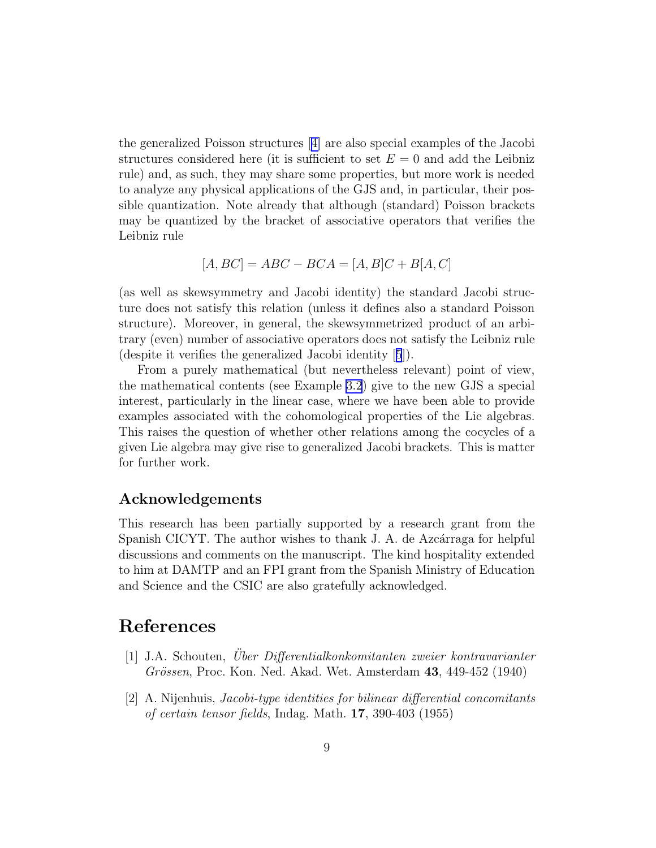<span id="page-8-0"></span>the generalized Poisson structures[[4\]](#page-9-0) are also special examples of the Jacobi structures considered here (it is sufficient to set  $E = 0$  and add the Leibniz rule) and, as such, they may share some properties, but more work is needed to analyze any physical applications of the GJS and, in particular, their possible quantization. Note already that although (standard) Poisson brackets may be quantized by the bracket of associative operators that verifies the Leibniz rule

$$
[A, BC] = ABC - BCA = [A, B]C + B[A, C]
$$

(as well as skewsymmetry and Jacobi identity) the standard Jacobi structure does not satisfy this relation (unless it defines also a standard Poisson structure). Moreover, in general, the skewsymmetrized product of an arbitrary (even) number of associative operators does not satisfy the Leibniz rule (despite it verifies the generalized Jacobi identity[[5](#page-9-0)]).

From a purely mathematical (but nevertheless relevant) point of view, the mathematical contents (see Example [3.2](#page-6-0)) give to the new GJS a special interest, particularly in the linear case, where we have been able to provide examples associated with the cohomological properties of the Lie algebras. This raises the question of whether other relations among the cocycles of a given Lie algebra may give rise to generalized Jacobi brackets. This is matter for further work.

#### Acknowledgements

This research has been partially supported by a research grant from the Spanish CICYT. The author wishes to thank J. A. de Azcárraga for helpful discussions and comments on the manuscript. The kind hospitality extended to him at DAMTP and an FPI grant from the Spanish Ministry of Education and Science and the CSIC are also gratefully acknowledged.

# References

- [1] J.A. Schouten, Uber Differentialkonkomitanten zweier kontravarianter ¨ Grössen, Proc. Kon. Ned. Akad. Wet. Amsterdam 43, 449-452 (1940)
- [2] A. Nijenhuis, Jacobi-type identities for bilinear differential concomitants of certain tensor fields, Indag. Math. 17, 390-403 (1955)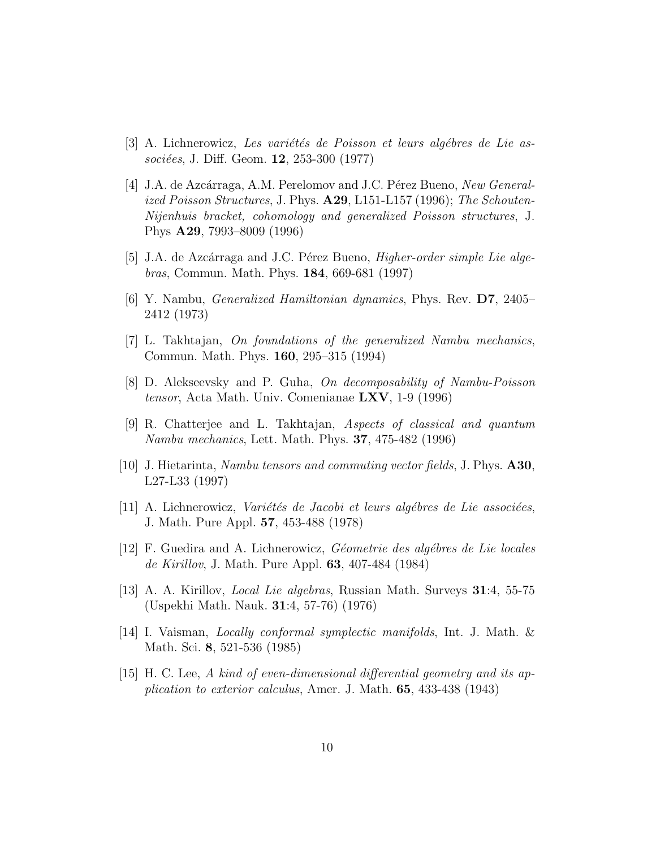- <span id="page-9-0"></span> $|3|$  A. Lichnerowicz, Les variétés de Poisson et leurs algébres de Lie associées, J. Diff. Geom.  $12, 253-300$  (1977)
- [4] J.A. de Azcárraga, A.M. Perelomov and J.C. Pérez Bueno, New Generalized Poisson Structures, J. Phys.  $A29$ , L151-L157 (1996); The Schouten-Nijenhuis bracket, cohomology and generalized Poisson structures, J. Phys A29, 7993–8009 (1996)
- [5] J.A. de Azcárraga and J.C. Pérez Bueno, *Higher-order simple Lie alge*bras, Commun. Math. Phys. 184, 669-681 (1997)
- [6] Y. Nambu, Generalized Hamiltonian dynamics, Phys. Rev. D7, 2405– 2412 (1973)
- [7] L. Takhtajan, On foundations of the generalized Nambu mechanics, Commun. Math. Phys. 160, 295–315 (1994)
- [8] D. Alekseevsky and P. Guha, On decomposability of Nambu-Poisson tensor, Acta Math. Univ. Comenianae  $\text{LXV}$ , 1-9 (1996)
- [9] R. Chatterjee and L. Takhtajan, Aspects of classical and quantum Nambu mechanics, Lett. Math. Phys. 37, 475-482 (1996)
- [10] J. Hietarinta, Nambu tensors and commuting vector fields, J. Phys. A30, L27-L33 (1997)
- $[11]$  A. Lichnerowicz, *Variétés de Jacobi et leurs algébres de Lie associées*, J. Math. Pure Appl. 57, 453-488 (1978)
- [12] F. Guedira and A. Lichnerowicz, *Géometrie des algébres de Lie locales* de Kirillov, J. Math. Pure Appl. 63, 407-484 (1984)
- [13] A. A. Kirillov, Local Lie algebras, Russian Math. Surveys 31:4, 55-75 (Uspekhi Math. Nauk. 31:4, 57-76) (1976)
- [14] I. Vaisman, Locally conformal symplectic manifolds, Int. J. Math. & Math. Sci. 8, 521-536 (1985)
- [15] H. C. Lee, A kind of even-dimensional differential geometry and its application to exterior calculus, Amer. J. Math. 65, 433-438 (1943)